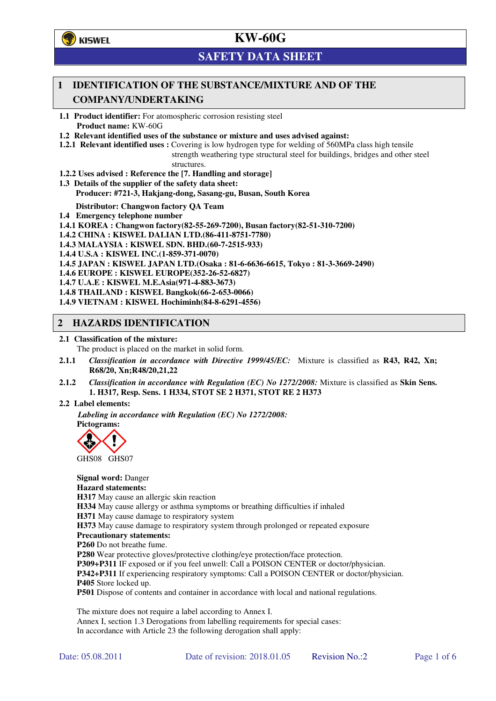

## **SAFETY DATA SHEET**

## **1 IDENTIFICATION OF THE SUBSTANCE/MIXTURE AND OF THE COMPANY/UNDERTAKING**

**1.1 Product identifier:** For atomospheric corrosion resisting steel **Product name:** KW-60G

- **1.2 Relevant identified uses of the substance or mixture and uses advised against:**
- **1.2.1 Relevant identified uses :** Covering is low hydrogen type for welding of 560MPa class high tensile strength weathering type structural steel for buildings, bridges and other steel structures.
- **1.2.2 Uses advised : Reference the [7. Handling and storage]**
- **1.3 Details of the supplier of the safety data sheet: Producer: #721-3, Hakjang-dong, Sasang-gu, Busan, South Korea**

**Distributor: Changwon factory QA Team** 

- **1.4 Emergency telephone number**
- **1.4.1 KOREA : Changwon factory(82-55-269-7200), Busan factory(82-51-310-7200)**

**1.4.2 CHINA : KISWEL DALIAN LTD.(86-411-8751-7780)** 

**1.4.3 MALAYSIA : KISWEL SDN. BHD.(60-7-2515-933)** 

- **1.4.4 U.S.A : KISWEL INC.(1-859-371-0070)**
- **1.4.5 JAPAN : KISWEL JAPAN LTD.(Osaka : 81-6-6636-6615, Tokyo : 81-3-3669-2490)**
- **1.4.6 EUROPE : KISWEL EUROPE(352-26-52-6827)**
- **1.4.7 U.A.E : KISWEL M.E.Asia(971-4-883-3673)**
- **1.4.8 THAILAND : KISWEL Bangkok(66-2-653-0066)**
- **1.4.9 VIETNAM : KISWEL Hochiminh(84-8-6291-4556)**

### **2 HAZARDS IDENTIFICATION**

**2.1 Classification of the mixture:** 

The product is placed on the market in solid form.

- **2.1.1** *Classification in accordance with Directive 1999/45/EC:* Mixture is classified as **R43, R42, Xn; R68/20, Xn;R48/20,21,22**
- **2.1.2** *Classification in accordance with Regulation (EC) No 1272/2008:* Mixture is classified as **Skin Sens. 1. H317, Resp. Sens. 1 H334, STOT SE 2 H371, STOT RE 2 H373**

#### **2.2 Label elements:**

*Labeling in accordance with Regulation (EC) No 1272/2008:*  **Pictograms:** 



GHS08 GHS07

**Signal word:** Danger **Hazard statements: H317** May cause an allergic skin reaction **H334** May cause allergy or asthma symptoms or breathing difficulties if inhaled **H371** May cause damage to respiratory system **H373** May cause damage to respiratory system through prolonged or repeated exposure **Precautionary statements: P260** Do not breathe fume. **P280** Wear protective gloves/protective clothing/eye protection/face protection. **P309+P311** IF exposed or if you feel unwell: Call a POISON CENTER or doctor/physician. **P342+P311** If experiencing respiratory symptoms: Call a POISON CENTER or doctor/physician. **P405** Store locked up. **P501** Dispose of contents and container in accordance with local and national regulations.

The mixture does not require a label according to Annex I. Annex I, section 1.3 Derogations from labelling requirements for special cases: In accordance with Article 23 the following derogation shall apply: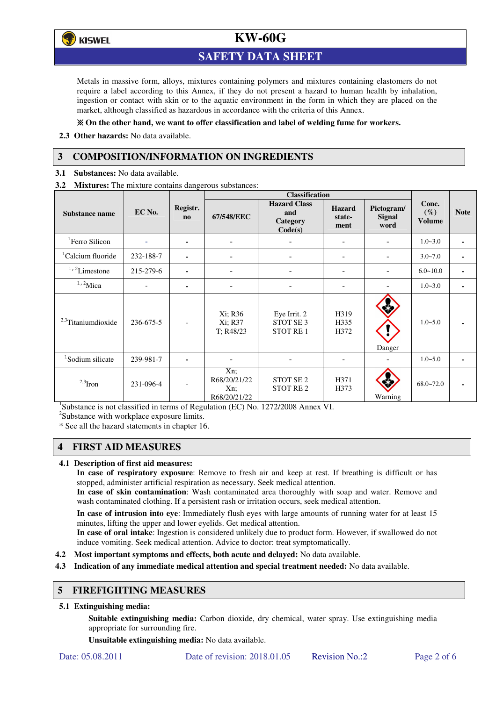

## **SAFETY DATA SHEET**

Metals in massive form, alloys, mixtures containing polymers and mixtures containing elastomers do not require a label according to this Annex, if they do not present a hazard to human health by inhalation, ingestion or contact with skin or to the aquatic environment in the form in which they are placed on the market, although classified as hazardous in accordance with the criteria of this Annex.

### **On the other hand, we want to offer classification and label of welding fume for workers.**

**2.3 Other hazards:** No data available.

## **3 COMPOSITION/INFORMATION ON INGREDIENTS**

**3.1 Substances:** No data available.

**3.2 Mixtures:** The mixture contains dangerous substances:

|                                |           |                                    | <b>Classification</b>                      |                                                         |                                 |                                     |                                  |             |
|--------------------------------|-----------|------------------------------------|--------------------------------------------|---------------------------------------------------------|---------------------------------|-------------------------------------|----------------------------------|-------------|
| Substance name                 | EC No.    | Registr.<br>$\mathbf{n}\mathbf{o}$ | 67/548/EEC                                 | <b>Hazard Class</b><br>and<br>Category<br>Code(s)       | <b>Hazard</b><br>state-<br>ment | Pictogram/<br><b>Signal</b><br>word | Conc.<br>$(\%)$<br><b>Volume</b> | <b>Note</b> |
| <sup>1</sup> Ferro Silicon     |           | ۰                                  | $\qquad \qquad -$                          |                                                         | -                               |                                     | $1.0 - 3.0$                      | ٠           |
| <sup>1</sup> Calcium fluoride  | 232-188-7 | ٠                                  |                                            |                                                         | $\overline{\phantom{0}}$        |                                     | $3.0 - 7.0$                      |             |
| $1/2$ Limestone                | 215-279-6 | $\blacksquare$                     |                                            |                                                         | $\overline{\phantom{0}}$        |                                     | $6.0 - 10.0$                     |             |
| $1,2$ Mica                     |           |                                    |                                            |                                                         |                                 |                                     | $1.0 - 3.0$                      |             |
| <sup>2,3</sup> Titaniumdioxide | 236-675-5 | $\overline{\phantom{a}}$           | Xi; R36<br>Xi; R37<br>T: R48/23            | Eye Irrit. 2<br>STOT SE <sub>3</sub><br><b>STOT RE1</b> | H319<br>H335<br>H372            | Danger                              | $1.0 - 5.0$                      |             |
| <sup>1</sup> Sodium silicate   | 239-981-7 |                                    |                                            |                                                         |                                 |                                     | $1.0 - 5.0$                      |             |
| $2,3$ Iron                     | 231-096-4 | $\overline{a}$                     | Xn;<br>R68/20/21/22<br>Xn;<br>R68/20/21/22 | STOT SE <sub>2</sub><br><b>STOT RE2</b>                 | H371<br>H373                    | Warning                             | $68.0 - 72.0$                    |             |

<sup>1</sup>Substance is not classified in terms of Regulation (EC) No. 1272/2008 Annex VI.

<sup>2</sup>Substance with workplace exposure limits.

\* See all the hazard statements in chapter 16.

### **4 FIRST AID MEASURES**

### **4.1 Description of first aid measures:**

**In case of respiratory exposure**: Remove to fresh air and keep at rest. If breathing is difficult or has stopped, administer artificial respiration as necessary. Seek medical attention.

**In case of skin contamination**: Wash contaminated area thoroughly with soap and water. Remove and wash contaminated clothing. If a persistent rash or irritation occurs, seek medical attention.

 **In case of intrusion into eye**: Immediately flush eyes with large amounts of running water for at least 15 minutes, lifting the upper and lower eyelids. Get medical attention.

**In case of oral intake**: Ingestion is considered unlikely due to product form. However, if swallowed do not induce vomiting. Seek medical attention. Advice to doctor: treat symptomatically.

- **4.2 Most important symptoms and effects, both acute and delayed:** No data available.
- **4.3 Indication of any immediate medical attention and special treatment needed:** No data available.

### **5 FIREFIGHTING MEASURES**

### **5.1 Extinguishing media:**

**Suitable extinguishing media:** Carbon dioxide, dry chemical, water spray. Use extinguishing media appropriate for surrounding fire.

**Unsuitable extinguishing media:** No data available.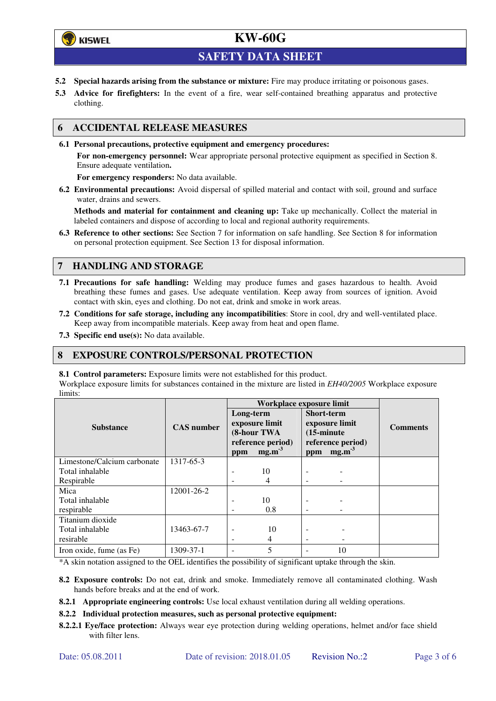## **学**)KISWEL

# **KW-60G**

## **SAFETY DATA SHEET**

- **5.2 Special hazards arising from the substance or mixture:** Fire may produce irritating or poisonous gases.
- **5.3 Advice for firefighters:** In the event of a fire, wear self-contained breathing apparatus and protective clothing.

### **6 ACCIDENTAL RELEASE MEASURES**

**6.1 Personal precautions, protective equipment and emergency procedures:** 

**For non-emergency personnel:** Wear appropriate personal protective equipment as specified in Section 8. Ensure adequate ventilation**.** 

**For emergency responders:** No data available.

**6.2 Environmental precautions:** Avoid dispersal of spilled material and contact with soil, ground and surface water, drains and sewers.

**Methods and material for containment and cleaning up:** Take up mechanically. Collect the material in labeled containers and dispose of according to local and regional authority requirements.

**6.3 Reference to other sections:** See Section 7 for information on safe handling. See Section 8 for information on personal protection equipment. See Section 13 for disposal information.

### **7 HANDLING AND STORAGE**

- **7.1 Precautions for safe handling:** Welding may produce fumes and gases hazardous to health. Avoid breathing these fumes and gases. Use adequate ventilation. Keep away from sources of ignition. Avoid contact with skin, eyes and clothing. Do not eat, drink and smoke in work areas.
- **7.2 Conditions for safe storage, including any incompatibilities**: Store in cool, dry and well-ventilated place. Keep away from incompatible materials. Keep away from heat and open flame.
- **7.3 Specific end use(s):** No data available.

### **8 EXPOSURE CONTROLS/PERSONAL PROTECTION**

#### **8.1 Control parameters:** Exposure limits were not established for this product.

Workplace exposure limits for substances contained in the mixture are listed in *EH40/2005* Workplace exposure limits:

|                             |                   | Workplace exposure limit |                                                                |                                           |                                                    |                 |  |
|-----------------------------|-------------------|--------------------------|----------------------------------------------------------------|-------------------------------------------|----------------------------------------------------|-----------------|--|
| <b>Substance</b>            | <b>CAS</b> number | Long-term<br>ppm         | exposure limit<br>(8-hour TWA<br>reference period)<br>$mg.m-3$ | <b>Short-term</b><br>$(15\text{-minute})$ | exposure limit<br>reference period)<br>ppm $mg.m3$ | <b>Comments</b> |  |
| Limestone/Calcium carbonate | 1317-65-3         |                          |                                                                |                                           |                                                    |                 |  |
| Total inhalable             |                   |                          | 10                                                             |                                           |                                                    |                 |  |
| Respirable                  |                   |                          | 4                                                              |                                           |                                                    |                 |  |
| Mica                        | 12001-26-2        |                          |                                                                |                                           |                                                    |                 |  |
| Total inhalable             |                   | -                        | 10                                                             | ۰                                         |                                                    |                 |  |
| respirable                  |                   | ۰                        | 0.8                                                            | -                                         |                                                    |                 |  |
| Titanium dioxide            |                   |                          |                                                                |                                           |                                                    |                 |  |
| Total inhalable             | 13463-67-7        | ۰                        | 10                                                             | -                                         |                                                    |                 |  |
| resirable                   |                   | ٠                        | 4                                                              | -                                         |                                                    |                 |  |
| Iron oxide, fume (as Fe)    | 1309-37-1         |                          | 5                                                              |                                           | 10                                                 |                 |  |

\*A skin notation assigned to the OEL identifies the possibility of significant uptake through the skin.

- **8.2 Exposure controls:** Do not eat, drink and smoke. Immediately remove all contaminated clothing. Wash hands before breaks and at the end of work.
- **8.2.1 Appropriate engineering controls:** Use local exhaust ventilation during all welding operations.

#### **8.2.2 Individual protection measures, such as personal protective equipment:**

**8.2.2.1 Eye/face protection:** Always wear eye protection during welding operations, helmet and/or face shield with filter lens.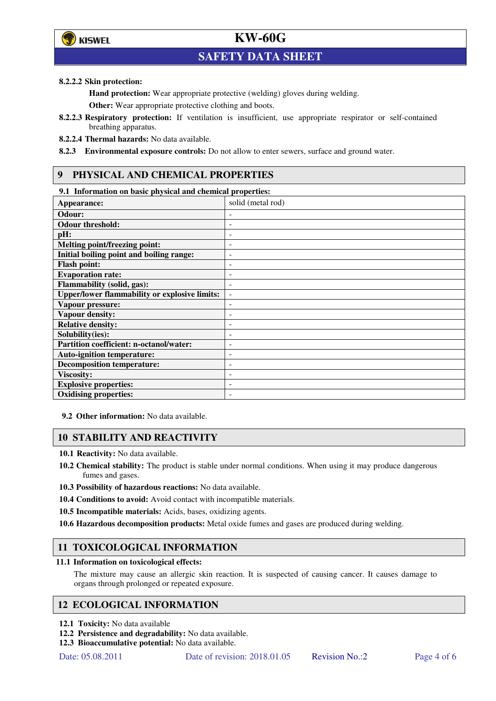

## **SAFETY DATA SHEET**

#### **8.2.2.2 Skin protection:**

**Hand protection:** Wear appropriate protective (welding) gloves during welding.

**Other:** Wear appropriate protective clothing and boots.

- **8.2.2.3 Respiratory protection:** If ventilation is insufficient, use appropriate respirator or self-contained breathing apparatus.
- **8.2.2.4 Thermal hazards:** No data available.

**8.2.3 Environmental exposure controls:** Do not allow to enter sewers, surface and ground water.

## **9 PHYSICAL AND CHEMICAL PROPERTIES**

#### **9.1 Information on basic physical and chemical properties:**

| Appearance:                                          | solid (metal rod)        |
|------------------------------------------------------|--------------------------|
| Odour:                                               |                          |
| <b>Odour threshold:</b>                              |                          |
| pH:                                                  |                          |
| Melting point/freezing point:                        | $\overline{a}$           |
| Initial boiling point and boiling range:             | ٠                        |
| <b>Flash point:</b>                                  | ۰                        |
| <b>Evaporation rate:</b>                             |                          |
| Flammability (solid, gas):                           | ۰                        |
| <b>Upper/lower flammability or explosive limits:</b> | $\overline{\phantom{m}}$ |
| Vapour pressure:                                     | ۰                        |
| <b>Vapour density:</b>                               | ٠                        |
| <b>Relative density:</b>                             | ۰                        |
| Solubility(ies):                                     |                          |
| Partition coefficient: n-octanol/water:              | ۰                        |
| <b>Auto-ignition temperature:</b>                    | -                        |
| <b>Decomposition temperature:</b>                    | ٠                        |
| <b>Viscosity:</b>                                    |                          |
| <b>Explosive properties:</b>                         |                          |
| <b>Oxidising properties:</b>                         |                          |

**9.2 Other information:** No data available.

### **10 STABILITY AND REACTIVITY**

**10.1 Reactivity:** No data available.

- **10.2 Chemical stability:** The product is stable under normal conditions. When using it may produce dangerous fumes and gases.
- **10.3 Possibility of hazardous reactions:** No data available.
- **10.4 Conditions to avoid:** Avoid contact with incompatible materials.
- **10.5 Incompatible materials:** Acids, bases, oxidizing agents.
- **10.6 Hazardous decomposition products:** Metal oxide fumes and gases are produced during welding.

### **11 TOXICOLOGICAL INFORMATION**

#### **11.1 Information on toxicological effects:**

The mixture may cause an allergic skin reaction. It is suspected of causing cancer. It causes damage to organs through prolonged or repeated exposure.

### **12 ECOLOGICAL INFORMATION**

- **12.1 Toxicity:** No data available
- **12.2 Persistence and degradability:** No data available.
- **12.3 Bioaccumulative potential:** No data available.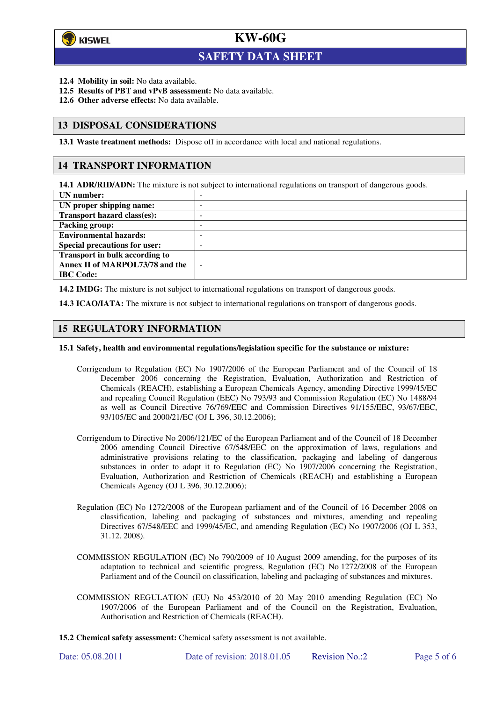

l

# **KW-60G**

## **SAFETY DATA SHEET**

- **12.4 Mobility in soil:** No data available.
- **12.5 Results of PBT and vPvB assessment:** No data available.
- **12.6 Other adverse effects:** No data available.

### **13 DISPOSAL CONSIDERATIONS**

**13.1 Waste treatment methods:** Dispose off in accordance with local and national regulations.

### **14 TRANSPORT INFORMATION**

**14.1 ADR/RID/ADN:** The mixture is not subject to international regulations on transport of dangerous goods.

| UN number:                            | -                        |
|---------------------------------------|--------------------------|
| UN proper shipping name:              | -                        |
| <b>Transport hazard class(es):</b>    | ۰                        |
| Packing group:                        | ۰                        |
| <b>Environmental hazards:</b>         | -                        |
| <b>Special precautions for user:</b>  | -                        |
| <b>Transport in bulk according to</b> |                          |
| Annex II of MARPOL73/78 and the       | $\overline{\phantom{a}}$ |
| <b>IBC</b> Code:                      |                          |
|                                       |                          |

**14.2 IMDG:** The mixture is not subject to international regulations on transport of dangerous goods.

**14.3 ICAO/IATA:** The mixture is not subject to international regulations on transport of dangerous goods.

### **15 REGULATORY INFORMATION**

#### **15.1 Safety, health and environmental regulations/legislation specific for the substance or mixture:**

- Corrigendum to Regulation (EC) No 1907/2006 of the European Parliament and of the Council of 18 December 2006 concerning the Registration, Evaluation, Authorization and Restriction of Chemicals (REACH), establishing a European Chemicals Agency, amending Directive 1999/45/EC and repealing Council Regulation (EEC) No 793/93 and Commission Regulation (EC) No 1488/94 as well as Council Directive 76/769/EEC and Commission Directives 91/155/EEC, 93/67/EEC, 93/105/EC and 2000/21/EC (OJ L 396, 30.12.2006);
- Corrigendum to Directive No 2006/121/EC of the European Parliament and of the Council of 18 December 2006 amending Council Directive 67/548/EEC on the approximation of laws, regulations and administrative provisions relating to the classification, packaging and labeling of dangerous substances in order to adapt it to Regulation (EC) No 1907/2006 concerning the Registration, Evaluation, Authorization and Restriction of Chemicals (REACH) and establishing a European Chemicals Agency (OJ L 396, 30.12.2006);
- Regulation (EC) No 1272/2008 of the European parliament and of the Council of 16 December 2008 on classification, labeling and packaging of substances and mixtures, amending and repealing Directives 67/548/EEC and 1999/45/EC, and amending Regulation (EC) No 1907/2006 (OJ L 353, 31.12. 2008).
- COMMISSION REGULATION (EC) No 790/2009 of 10 August 2009 amending, for the purposes of its adaptation to technical and scientific progress, Regulation (EC) No 1272/2008 of the European Parliament and of the Council on classification, labeling and packaging of substances and mixtures.
- COMMISSION REGULATION (EU) No 453/2010 of 20 May 2010 amending Regulation (EC) No 1907/2006 of the European Parliament and of the Council on the Registration, Evaluation, Authorisation and Restriction of Chemicals (REACH).
- **15.2 Chemical safety assessment:** Chemical safety assessment is not available.